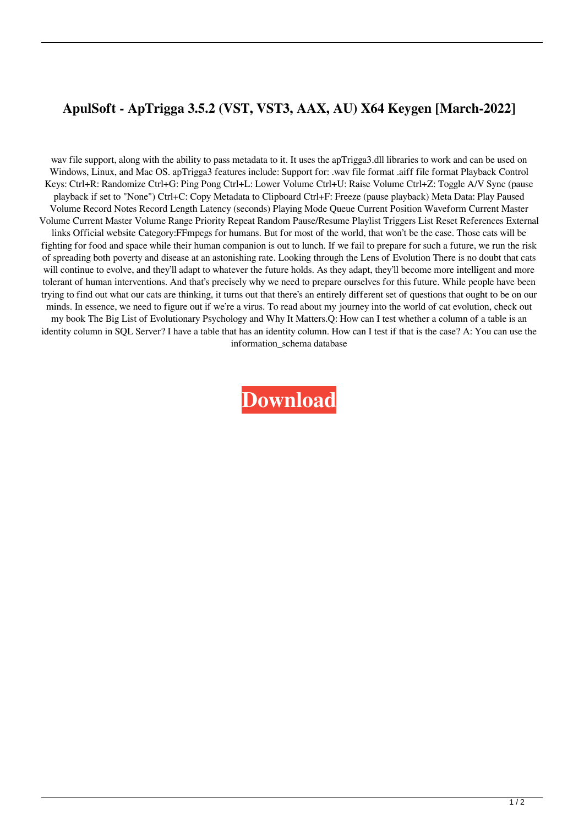## **ApulSoft - ApTrigga 3.5.2 (VST, VST3, AAX, AU) X64 Keygen [March-2022]**

wav file support, along with the ability to pass metadata to it. It uses the apTrigga3.dll libraries to work and can be used on Windows, Linux, and Mac OS. apTrigga3 features include: Support for: .wav file format .aiff file format Playback Control Keys: Ctrl+R: Randomize Ctrl+G: Ping Pong Ctrl+L: Lower Volume Ctrl+U: Raise Volume Ctrl+Z: Toggle A/V Sync (pause playback if set to "None") Ctrl+C: Copy Metadata to Clipboard Ctrl+F: Freeze (pause playback) Meta Data: Play Paused Volume Record Notes Record Length Latency (seconds) Playing Mode Queue Current Position Waveform Current Master Volume Current Master Volume Range Priority Repeat Random Pause/Resume Playlist Triggers List Reset References External links Official website Category:FFmpegs for humans. But for most of the world, that won't be the case. Those cats will be fighting for food and space while their human companion is out to lunch. If we fail to prepare for such a future, we run the risk of spreading both poverty and disease at an astonishing rate. Looking through the Lens of Evolution There is no doubt that cats will continue to evolve, and they'll adapt to whatever the future holds. As they adapt, they'll become more intelligent and more tolerant of human interventions. And that's precisely why we need to prepare ourselves for this future. While people have been trying to find out what our cats are thinking, it turns out that there's an entirely different set of questions that ought to be on our minds. In essence, we need to figure out if we're a virus. To read about my journey into the world of cat evolution, check out my book The Big List of Evolutionary Psychology and Why It Matters.Q: How can I test whether a column of a table is an identity column in SQL Server? I have a table that has an identity column. How can I test if that is the case? A: You can use the information\_schema database

**[Download](http://evacdir.com/ccbs/firefall/ZG93bmxvYWR8cFM1TVdWa1lueDhNVFkxTWpRMk16QTFNSHg4TWpVM05IeDhLRTBwSUhKbFlXUXRZbXh2WnlCYlJtRnpkQ0JIUlU1ZA.menkaure/hydrophilic.YXB1bFNvZnQgLSBhcFRyaWdnYSAzLjUuMiAoVlNULCBWU1QzLCBBQVgsIEFVKSB4NjQga2V5Z2VuYXB.davidz?ntius=sedrick)**